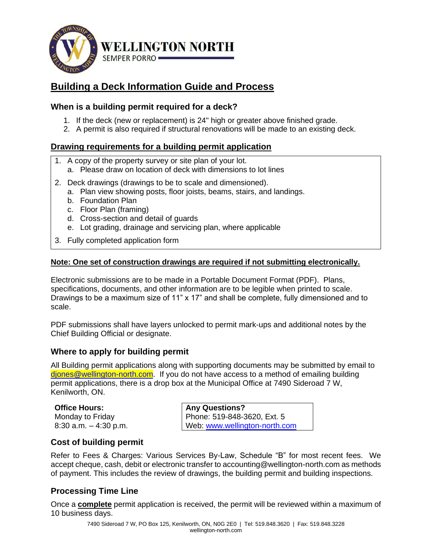

# **Building a Deck Information Guide and Process**

## **When is a building permit required for a deck?**

- 1. If the deck (new or replacement) is 24" high or greater above finished grade.
- 2. A permit is also required if structural renovations will be made to an existing deck.

### **Drawing requirements for a building permit application**

- 1. A copy of the property survey or site plan of your lot.
	- a. Please draw on location of deck with dimensions to lot lines
- 2. Deck drawings (drawings to be to scale and dimensioned).
	- a. Plan view showing posts, floor joists, beams, stairs, and landings.
	- b. Foundation Plan
	- c. Floor Plan (framing)
	- d. Cross-section and detail of guards
	- e. Lot grading, drainage and servicing plan, where applicable
- 3. Fully completed application form

### **Note: One set of construction drawings are required if not submitting electronically.**

Electronic submissions are to be made in a Portable Document Format (PDF). Plans, specifications, documents, and other information are to be legible when printed to scale. Drawings to be a maximum size of 11" x 17" and shall be complete, fully dimensioned and to scale.

PDF submissions shall have layers unlocked to permit mark-ups and additional notes by the Chief Building Official or designate.

### **Where to apply for building permit**

All Building permit applications along with supporting documents may be submitted by email to [djones@wellington-north.com.](mailto:djones@wellington-north.com) If you do not have access to a method of emailing building permit applications, there is a drop box at the Municipal Office at 7490 Sideroad 7 W, Kenilworth, ON.

**Office Hours:**  Monday to Friday 8:30 a.m. – 4:30 p.m.

**Any Questions?**  Phone: 519-848-3620, Ext. 5 Web: [www.wellington-north.com](http://www.wellington-north.com/)

### **Cost of building permit**

Refer to Fees & Charges: Various Services By-Law, Schedule "B" for most recent fees. We accept cheque, cash, debit or electronic transfer to accounting@wellington-north.com as methods of payment. This includes the review of drawings, the building permit and building inspections.

## **Processing Time Line**

Once a **complete** permit application is received, the permit will be reviewed within a maximum of 10 business days.